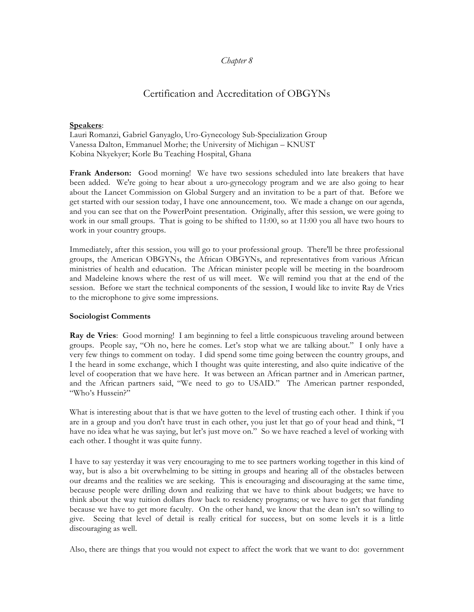## *Chapter 8*

# Certification and Accreditation of OBGYNs

## **Speakers**:

Lauri Romanzi, Gabriel Ganyaglo, Uro-Gynecology Sub-Specialization Group Vanessa Dalton, Emmanuel Morhe; the University of Michigan – KNUST Kobina Nkyekyer; Korle Bu Teaching Hospital, Ghana

**Frank Anderson:** Good morning! We have two sessions scheduled into late breakers that have been added. We're going to hear about a uro-gynecology program and we are also going to hear about the Lancet Commission on Global Surgery and an invitation to be a part of that. Before we get started with our session today, I have one announcement, too. We made a change on our agenda, and you can see that on the PowerPoint presentation. Originally, after this session, we were going to work in our small groups. That is going to be shifted to 11:00, so at 11:00 you all have two hours to work in your country groups.

Immediately, after this session, you will go to your professional group. There'll be three professional groups, the American OBGYNs, the African OBGYNs, and representatives from various African ministries of health and education. The African minister people will be meeting in the boardroom and Madeleine knows where the rest of us will meet. We will remind you that at the end of the session. Before we start the technical components of the session, I would like to invite Ray de Vries to the microphone to give some impressions.

## **Sociologist Comments**

**Ray de Vries**: Good morning! I am beginning to feel a little conspicuous traveling around between groups. People say, "Oh no, here he comes. Let's stop what we are talking about." I only have a very few things to comment on today. I did spend some time going between the country groups, and I the heard in some exchange, which I thought was quite interesting, and also quite indicative of the level of cooperation that we have here. It was between an African partner and in American partner, and the African partners said, "We need to go to USAID." The American partner responded, "Who's Hussein?"

What is interesting about that is that we have gotten to the level of trusting each other. I think if you are in a group and you don't have trust in each other, you just let that go of your head and think, "I have no idea what he was saying, but let's just move on." So we have reached a level of working with each other. I thought it was quite funny.

I have to say yesterday it was very encouraging to me to see partners working together in this kind of way, but is also a bit overwhelming to be sitting in groups and hearing all of the obstacles between our dreams and the realities we are seeking. This is encouraging and discouraging at the same time, because people were drilling down and realizing that we have to think about budgets; we have to think about the way tuition dollars flow back to residency programs; or we have to get that funding because we have to get more faculty. On the other hand, we know that the dean isn't so willing to give. Seeing that level of detail is really critical for success, but on some levels it is a little discouraging as well.

Also, there are things that you would not expect to affect the work that we want to do: government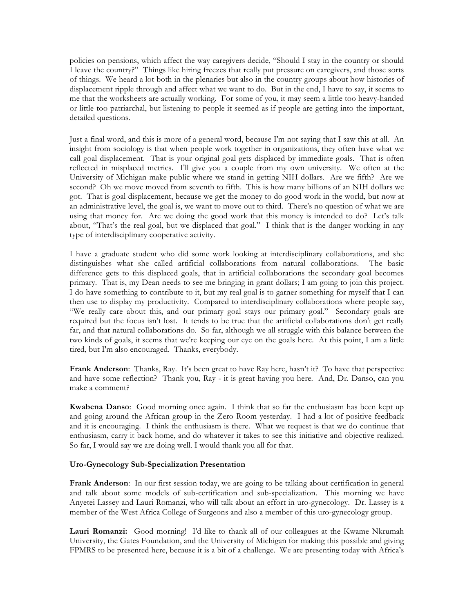policies on pensions, which affect the way caregivers decide, "Should I stay in the country or should I leave the country?" Things like hiring freezes that really put pressure on caregivers, and those sorts of things. We heard a lot both in the plenaries but also in the country groups about how histories of displacement ripple through and affect what we want to do. But in the end, I have to say, it seems to me that the worksheets are actually working. For some of you, it may seem a little too heavy-handed or little too patriarchal, but listening to people it seemed as if people are getting into the important, detailed questions.

Just a final word, and this is more of a general word, because I'm not saying that I saw this at all. An insight from sociology is that when people work together in organizations, they often have what we call goal displacement. That is your original goal gets displaced by immediate goals. That is often reflected in misplaced metrics. I'll give you a couple from my own university. We often at the University of Michigan make public where we stand in getting NIH dollars. Are we fifth? Are we second? Oh we move moved from seventh to fifth. This is how many billions of an NIH dollars we got. That is goal displacement, because we get the money to do good work in the world, but now at an administrative level, the goal is, we want to move out to third. There's no question of what we are using that money for. Are we doing the good work that this money is intended to do? Let's talk about, "That's the real goal, but we displaced that goal." I think that is the danger working in any type of interdisciplinary cooperative activity.

I have a graduate student who did some work looking at interdisciplinary collaborations, and she distinguishes what she called artificial collaborations from natural collaborations. The basic difference gets to this displaced goals, that in artificial collaborations the secondary goal becomes primary. That is, my Dean needs to see me bringing in grant dollars; I am going to join this project. I do have something to contribute to it, but my real goal is to garner something for myself that I can then use to display my productivity. Compared to interdisciplinary collaborations where people say, "We really care about this, and our primary goal stays our primary goal." Secondary goals are required but the focus isn't lost. It tends to be true that the artificial collaborations don't get really far, and that natural collaborations do. So far, although we all struggle with this balance between the two kinds of goals, it seems that we're keeping our eye on the goals here. At this point, I am a little tired, but I'm also encouraged. Thanks, everybody.

**Frank Anderson**: Thanks, Ray. It's been great to have Ray here, hasn't it? To have that perspective and have some reflection? Thank you, Ray - it is great having you here. And, Dr. Danso, can you make a comment?

**Kwabena Danso**: Good morning once again. I think that so far the enthusiasm has been kept up and going around the African group in the Zero Room yesterday. I had a lot of positive feedback and it is encouraging. I think the enthusiasm is there. What we request is that we do continue that enthusiasm, carry it back home, and do whatever it takes to see this initiative and objective realized. So far, I would say we are doing well. I would thank you all for that.

### **Uro-Gynecology Sub-Specialization Presentation**

**Frank Anderson**: In our first session today, we are going to be talking about certification in general and talk about some models of sub-certification and sub-specialization. This morning we have Anyetei Lassey and Lauri Romanzi, who will talk about an effort in uro-gynecology. Dr. Lassey is a member of the West Africa College of Surgeons and also a member of this uro-gynecology group.

**Lauri Romanzi:** Good morning! I'd like to thank all of our colleagues at the Kwame Nkrumah University, the Gates Foundation, and the University of Michigan for making this possible and giving FPMRS to be presented here, because it is a bit of a challenge. We are presenting today with Africa's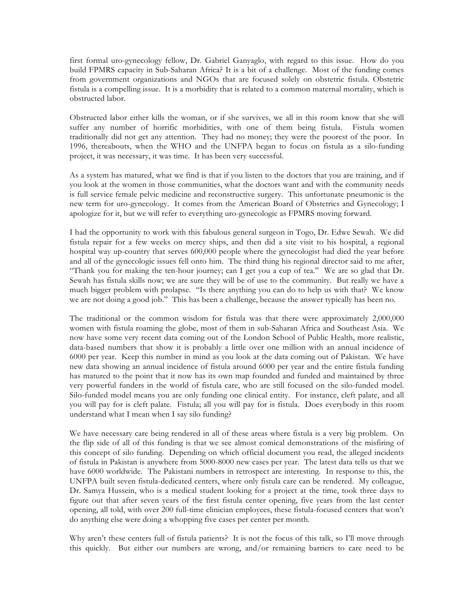first formal uro-gynecology fellow, Dr. Gabriel Ganyaglo, with regard to this issue. How do you build FPMRS capacity in Sub-Saharan Africa? It is a bit of a challenge. Most of the funding comes from government organizations and NGOs that are focused solely on obstetric fistula. Obstetric fistula is a compelling issue. It is a morbidity that is related to a common maternal mortality, which is obstructed labor.

Obstructed labor either kills the woman, or if she survives, we all in this room know that she will suffer any number of horrific morbidities, with one of them being fistula. Fistula women traditionally did not get any attention. They had no money; they were the poorest of the poor. In 1996, thereabouts, when the WHO and the UNFPA began to focus on fistula as a silo-funding project, it was necessary, it was time. It has been very successful.

As a system has matured, what we find is that if you listen to the doctors that you are training, and if you look at the women in those communities, what the doctors want and with the community needs is full service female pelvic medicine and reconstructive surgery. This unfortunate pneumonic is the new term for uro-gynecology. It comes from the American Board of Obstetrics and Gynecology; I apologize for it, but we will refer to everything uro-gynecologic as FPMRS moving forward.

I had the opportunity to work with this fabulous general surgeon in Togo, Dr. Edwe Sewah. We did fistula repair for a few weeks on mercy ships, and then did a site visit to his hospital, a regional hospital way up-country that serves 600,000 people where the gynecologist had died the year before and all of the gynecologic issues fell onto him. The third thing his regional director said to me after, "Thank you for making the ten-hour journey; can I get you a cup of tea." We are so glad that Dr. Sewah has fistula skills now; we are sure they will be of use to the community. But really we have a much bigger problem with prolapse. "Is there anything you can do to help us with that? We know we are not doing a good job." This has been a challenge, because the answer typically has been no.

The traditional or the common wisdom for fistula was that there were approximately 2,000,000 women with fistula roaming the globe, most of them in sub-Saharan Africa and Southeast Asia. We now have some very recent data coming out of the London School of Public Health, more realistic, data-based numbers that show it is probably a little over one million with an annual incidence of 6000 per year. Keep this number in mind as you look at the data coming out of Pakistan. We have new data showing an annual incidence of fistula around 6000 per year and the entire fistula funding has matured to the point that it now has its own map founded and funded and maintained by three very powerful funders in the world of fistula care, who are still focused on the silo-funded model. Silo-funded model means you are only funding one clinical entity. For instance, cleft palate, and all you will pay for is cleft palate. Fistula; all you will pay for is fistula. Does everybody in this room understand what I mean when I say silo funding?

We have necessary care being rendered in all of these areas where fistula is a very big problem. On the flip side of all of this funding is that we see almost comical demonstrations of the misfiring of this concept of silo funding. Depending on which official document you read, the alleged incidents of fistula in Pakistan is anywhere from 5000-8000 new cases per year. The latest data tells us that we have 6000 worldwide. The Pakistani numbers in retrospect are interesting. In response to this, the UNFPA built seven fistula-dedicated centers, where only fistula care can be rendered. My colleague, Dr. Samya Hussein, who is a medical student looking for a project at the time, took three days to figure out that after seven years of the first fistula center opening, five years from the last center opening, all told, with over 200 full-time clinician employees, these fistula-focused centers that won't do anything else were doing a whopping five cases per center per month.

Why aren't these centers full of fistula patients? It is not the focus of this talk, so I'll move through this quickly. But either our numbers are wrong, and/or remaining barriers to care need to be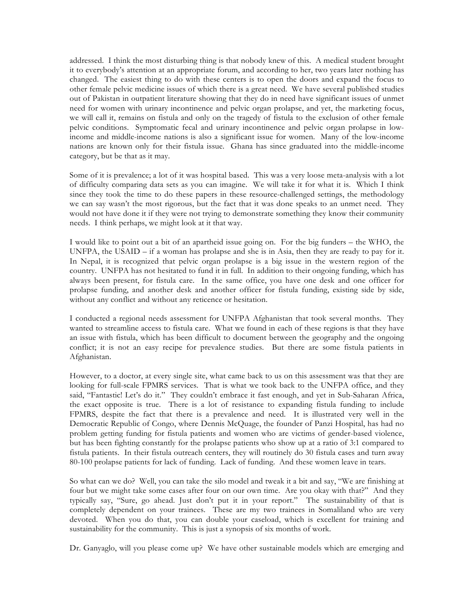addressed. I think the most disturbing thing is that nobody knew of this. A medical student brought it to everybody's attention at an appropriate forum, and according to her, two years later nothing has changed. The easiest thing to do with these centers is to open the doors and expand the focus to other female pelvic medicine issues of which there is a great need. We have several published studies out of Pakistan in outpatient literature showing that they do in need have significant issues of unmet need for women with urinary incontinence and pelvic organ prolapse, and yet, the marketing focus, we will call it, remains on fistula and only on the tragedy of fistula to the exclusion of other female pelvic conditions. Symptomatic fecal and urinary incontinence and pelvic organ prolapse in lowincome and middle-income nations is also a significant issue for women. Many of the low-income nations are known only for their fistula issue. Ghana has since graduated into the middle-income category, but be that as it may.

Some of it is prevalence; a lot of it was hospital based. This was a very loose meta-analysis with a lot of difficulty comparing data sets as you can imagine. We will take it for what it is. Which I think since they took the time to do these papers in these resource-challenged settings, the methodology we can say wasn't the most rigorous, but the fact that it was done speaks to an unmet need. They would not have done it if they were not trying to demonstrate something they know their community needs. I think perhaps, we might look at it that way.

I would like to point out a bit of an apartheid issue going on. For the big funders – the WHO, the UNFPA, the USAID – if a woman has prolapse and she is in Asia, then they are ready to pay for it. In Nepal, it is recognized that pelvic organ prolapse is a big issue in the western region of the country. UNFPA has not hesitated to fund it in full. In addition to their ongoing funding, which has always been present, for fistula care. In the same office, you have one desk and one officer for prolapse funding, and another desk and another officer for fistula funding, existing side by side, without any conflict and without any reticence or hesitation.

I conducted a regional needs assessment for UNFPA Afghanistan that took several months. They wanted to streamline access to fistula care. What we found in each of these regions is that they have an issue with fistula, which has been difficult to document between the geography and the ongoing conflict; it is not an easy recipe for prevalence studies. But there are some fistula patients in Afghanistan.

However, to a doctor, at every single site, what came back to us on this assessment was that they are looking for full-scale FPMRS services. That is what we took back to the UNFPA office, and they said, "Fantastic! Let's do it." They couldn't embrace it fast enough, and yet in Sub-Saharan Africa, the exact opposite is true. There is a lot of resistance to expanding fistula funding to include FPMRS, despite the fact that there is a prevalence and need. It is illustrated very well in the Democratic Republic of Congo, where Dennis McQuage, the founder of Panzi Hospital, has had no problem getting funding for fistula patients and women who are victims of gender-based violence, but has been fighting constantly for the prolapse patients who show up at a ratio of 3:1 compared to fistula patients. In their fistula outreach centers, they will routinely do 30 fistula cases and turn away 80-100 prolapse patients for lack of funding. Lack of funding. And these women leave in tears.

So what can we do? Well, you can take the silo model and tweak it a bit and say, "We are finishing at four but we might take some cases after four on our own time. Are you okay with that?" And they typically say, "Sure, go ahead. Just don't put it in your report." The sustainability of that is completely dependent on your trainees. These are my two trainees in Somaliland who are very devoted. When you do that, you can double your caseload, which is excellent for training and sustainability for the community. This is just a synopsis of six months of work.

Dr. Ganyaglo, will you please come up? We have other sustainable models which are emerging and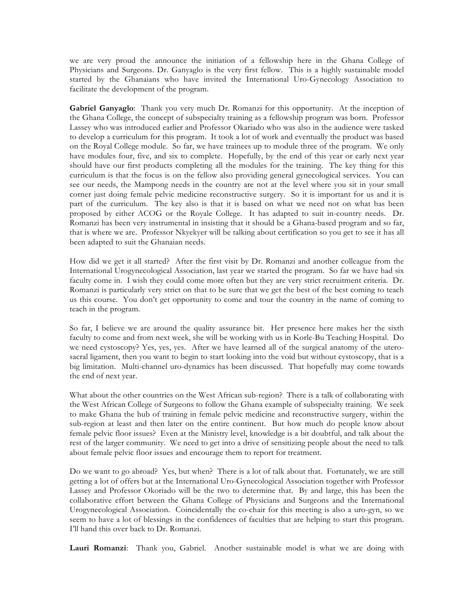we are very proud the announce the initiation of a fellowship here in the Ghana College of Physicians and Surgeons. Dr. Ganyaglo is the very first fellow. This is a highly sustainable model started by the Ghanaians who have invited the International Uro-Gynecology Association to facilitate the development of the program.

**Gabriel Ganyaglo**: Thank you very much Dr. Romanzi for this opportunity. At the inception of the Ghana College, the concept of subspecialty training as a fellowship program was born. Professor Lassey who was introduced earlier and Professor Okariado who was also in the audience were tasked to develop a curriculum for this program. It took a lot of work and eventually the product was based on the Royal College module. So far, we have trainees up to module three of the program. We only have modules four, five, and six to complete. Hopefully, by the end of this year or early next year should have our first products completing all the modules for the training. The key thing for this curriculum is that the focus is on the fellow also providing general gynecological services. You can see our needs, the Mampong needs in the country are not at the level where you sit in your small corner just doing female pelvic medicine reconstructive surgery. So it is important for us and it is part of the curriculum. The key also is that it is based on what we need not on what has been proposed by either ACOG or the Royale College. It has adapted to suit in-country needs. Dr. Romanzi has been very instrumental in insisting that it should be a Ghana-based program and so far, that is where we are. Professor Nkyekyer will be talking about certification so you get to see it has all been adapted to suit the Ghanaian needs.

How did we get it all started? After the first visit by Dr. Romanzi and another colleague from the International Urogynecological Association, last year we started the program. So far we have had six faculty come in. I wish they could come more often but they are very strict recruitment criteria. Dr. Romanzi is particularly very strict on that to be sure that we get the best of the best coming to teach us this course. You don't get opportunity to come and tour the country in the name of coming to teach in the program.

So far, I believe we are around the quality assurance bit. Her presence here makes her the sixth faculty to come and from next week, she will be working with us in Korle-Bu Teaching Hospital. Do we need cystoscopy? Yes, yes, yes. After we have learned all of the surgical anatomy of the uterosacral ligament, then you want to begin to start looking into the void but without cystoscopy, that is a big limitation. Multi-channel uro-dynamics has been discussed. That hopefully may come towards the end of next year.

What about the other countries on the West African sub-region? There is a talk of collaborating with the West African College of Surgeons to follow the Ghana example of subspecialty training. We seek to make Ghana the hub of training in female pelvic medicine and reconstructive surgery, within the sub-region at least and then later on the entire continent. But how much do people know about female pelvic floor issues? Even at the Ministry level, knowledge is a bit doubtful, and talk about the rest of the larger community. We need to get into a drive of sensitizing people about the need to talk about female pelvic floor issues and encourage them to report for treatment.

Do we want to go abroad? Yes, but when? There is a lot of talk about that. Fortunately, we are still getting a lot of offers but at the International Uro-Gynecological Association together with Professor Lassey and Professor Okoriado will be the two to determine that. By and large, this has been the collaborative effort between the Ghana College of Physicians and Surgeons and the International Urogynecological Association. Coincidentally the co-chair for this meeting is also a uro-gyn, so we seem to have a lot of blessings in the confidences of faculties that are helping to start this program. I'll hand this over back to Dr. Romanzi.

**Lauri Romanzi**: Thank you, Gabriel. Another sustainable model is what we are doing with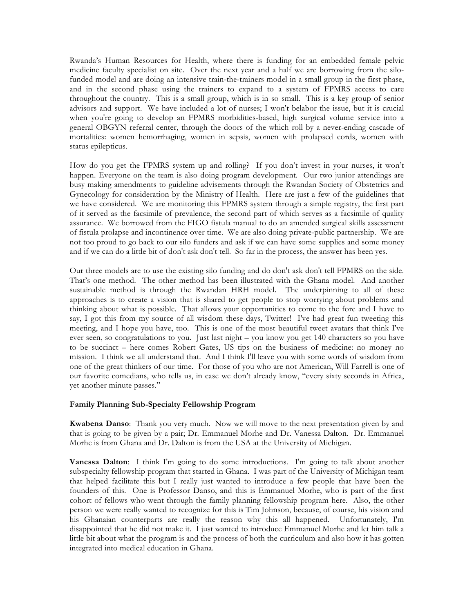Rwanda's Human Resources for Health, where there is funding for an embedded female pelvic medicine faculty specialist on site. Over the next year and a half we are borrowing from the silofunded model and are doing an intensive train-the-trainers model in a small group in the first phase, and in the second phase using the trainers to expand to a system of FPMRS access to care throughout the country. This is a small group, which is in so small. This is a key group of senior advisors and support. We have included a lot of nurses; I won't belabor the issue, but it is crucial when you're going to develop an FPMRS morbidities-based, high surgical volume service into a general OBGYN referral center, through the doors of the which roll by a never-ending cascade of mortalities: women hemorrhaging, women in sepsis, women with prolapsed cords, women with status epilepticus.

How do you get the FPMRS system up and rolling? If you don't invest in your nurses, it won't happen. Everyone on the team is also doing program development. Our two junior attendings are busy making amendments to guideline advisements through the Rwandan Society of Obstetrics and Gynecology for consideration by the Ministry of Health. Here are just a few of the guidelines that we have considered. We are monitoring this FPMRS system through a simple registry, the first part of it served as the facsimile of prevalence, the second part of which serves as a facsimile of quality assurance. We borrowed from the FIGO fistula manual to do an amended surgical skills assessment of fistula prolapse and incontinence over time. We are also doing private-public partnership. We are not too proud to go back to our silo funders and ask if we can have some supplies and some money and if we can do a little bit of don't ask don't tell. So far in the process, the answer has been yes.

Our three models are to use the existing silo funding and do don't ask don't tell FPMRS on the side. That's one method. The other method has been illustrated with the Ghana model. And another sustainable method is through the Rwandan HRH model. The underpinning to all of these approaches is to create a vision that is shared to get people to stop worrying about problems and thinking about what is possible. That allows your opportunities to come to the fore and I have to say, I got this from my source of all wisdom these days, Twitter! I've had great fun tweeting this meeting, and I hope you have, too. This is one of the most beautiful tweet avatars that think I've ever seen, so congratulations to you. Just last night – you know you get 140 characters so you have to be succinct – here comes Robert Gates, US tips on the business of medicine: no money no mission. I think we all understand that. And I think I'll leave you with some words of wisdom from one of the great thinkers of our time. For those of you who are not American, Will Farrell is one of our favorite comedians, who tells us, in case we don't already know, "every sixty seconds in Africa, yet another minute passes."

### **Family Planning Sub-Specialty Fellowship Program**

**Kwabena Danso**: Thank you very much. Now we will move to the next presentation given by and that is going to be given by a pair; Dr. Emmanuel Morhe and Dr. Vanessa Dalton. Dr. Emmanuel Morhe is from Ghana and Dr. Dalton is from the USA at the University of Michigan.

**Vanessa Dalton**: I think I'm going to do some introductions. I'm going to talk about another subspecialty fellowship program that started in Ghana. I was part of the University of Michigan team that helped facilitate this but I really just wanted to introduce a few people that have been the founders of this. One is Professor Danso, and this is Emmanuel Morhe, who is part of the first cohort of fellows who went through the family planning fellowship program here. Also, the other person we were really wanted to recognize for this is Tim Johnson, because, of course, his vision and his Ghanaian counterparts are really the reason why this all happened. Unfortunately, I'm disappointed that he did not make it. I just wanted to introduce Emmanuel Morhe and let him talk a little bit about what the program is and the process of both the curriculum and also how it has gotten integrated into medical education in Ghana.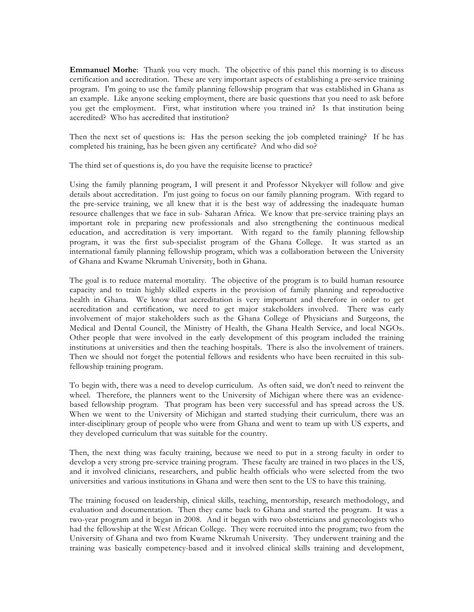**Emmanuel Morhe**: Thank you very much. The objective of this panel this morning is to discuss certification and accreditation. These are very important aspects of establishing a pre-service training program. I'm going to use the family planning fellowship program that was established in Ghana as an example. Like anyone seeking employment, there are basic questions that you need to ask before you get the employment. First, what institution where you trained in? Is that institution being accredited? Who has accredited that institution?

Then the next set of questions is: Has the person seeking the job completed training? If he has completed his training, has he been given any certificate? And who did so?

The third set of questions is, do you have the requisite license to practice?

Using the family planning program, I will present it and Professor Nkyekyer will follow and give details about accreditation. I'm just going to focus on our family planning program. With regard to the pre-service training, we all knew that it is the best way of addressing the inadequate human resource challenges that we face in sub- Saharan Africa. We know that pre-service training plays an important role in preparing new professionals and also strengthening the continuous medical education, and accreditation is very important. With regard to the family planning fellowship program, it was the first sub-specialist program of the Ghana College. It was started as an international family planning fellowship program, which was a collaboration between the University of Ghana and Kwame Nkrumah University, both in Ghana.

The goal is to reduce maternal mortality. The objective of the program is to build human resource capacity and to train highly skilled experts in the provision of family planning and reproductive health in Ghana. We know that accreditation is very important and therefore in order to get accreditation and certification, we need to get major stakeholders involved. There was early involvement of major stakeholders such as the Ghana College of Physicians and Surgeons, the Medical and Dental Council, the Ministry of Health, the Ghana Health Service, and local NGOs. Other people that were involved in the early development of this program included the training institutions at universities and then the teaching hospitals. There is also the involvement of trainers. Then we should not forget the potential fellows and residents who have been recruited in this subfellowship training program.

To begin with, there was a need to develop curriculum. As often said, we don't need to reinvent the wheel. Therefore, the planners went to the University of Michigan where there was an evidencebased fellowship program. That program has been very successful and has spread across the US. When we went to the University of Michigan and started studying their curriculum, there was an inter-disciplinary group of people who were from Ghana and went to team up with US experts, and they developed curriculum that was suitable for the country.

Then, the next thing was faculty training, because we need to put in a strong faculty in order to develop a very strong pre-service training program. These faculty are trained in two places in the US, and it involved clinicians, researchers, and public health officials who were selected from the two universities and various institutions in Ghana and were then sent to the US to have this training.

The training focused on leadership, clinical skills, teaching, mentorship, research methodology, and evaluation and documentation. Then they came back to Ghana and started the program. It was a two-year program and it began in 2008. And it began with two obstetricians and gynecologists who had the fellowship at the West African College. They were recruited into the program; two from the University of Ghana and two from Kwame Nkrumah University. They underwent training and the training was basically competency-based and it involved clinical skills training and development,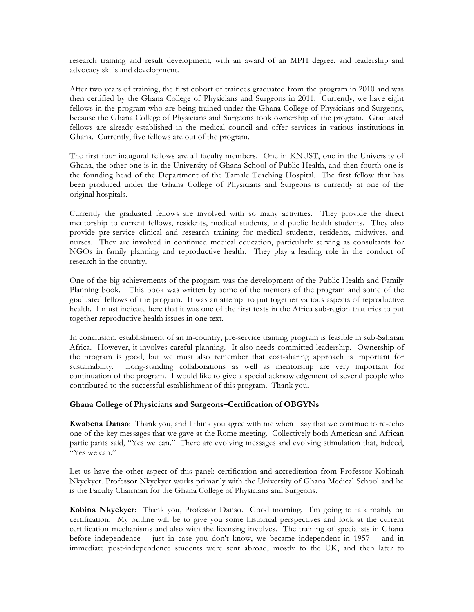research training and result development, with an award of an MPH degree, and leadership and advocacy skills and development.

After two years of training, the first cohort of trainees graduated from the program in 2010 and was then certified by the Ghana College of Physicians and Surgeons in 2011. Currently, we have eight fellows in the program who are being trained under the Ghana College of Physicians and Surgeons, because the Ghana College of Physicians and Surgeons took ownership of the program. Graduated fellows are already established in the medical council and offer services in various institutions in Ghana. Currently, five fellows are out of the program.

The first four inaugural fellows are all faculty members. One in KNUST, one in the University of Ghana, the other one is in the University of Ghana School of Public Health, and then fourth one is the founding head of the Department of the Tamale Teaching Hospital. The first fellow that has been produced under the Ghana College of Physicians and Surgeons is currently at one of the original hospitals.

Currently the graduated fellows are involved with so many activities. They provide the direct mentorship to current fellows, residents, medical students, and public health students. They also provide pre-service clinical and research training for medical students, residents, midwives, and nurses. They are involved in continued medical education, particularly serving as consultants for NGOs in family planning and reproductive health. They play a leading role in the conduct of research in the country.

One of the big achievements of the program was the development of the Public Health and Family Planning book. This book was written by some of the mentors of the program and some of the graduated fellows of the program. It was an attempt to put together various aspects of reproductive health. I must indicate here that it was one of the first texts in the Africa sub-region that tries to put together reproductive health issues in one text.

In conclusion, establishment of an in-country, pre-service training program is feasible in sub-Saharan Africa. However, it involves careful planning. It also needs committed leadership. Ownership of the program is good, but we must also remember that cost-sharing approach is important for sustainability. Long-standing collaborations as well as mentorship are very important for continuation of the program. I would like to give a special acknowledgement of several people who contributed to the successful establishment of this program. Thank you.

### **Ghana College of Physicians and Surgeons–Certification of OBGYNs**

**Kwabena Danso**: Thank you, and I think you agree with me when I say that we continue to re-echo one of the key messages that we gave at the Rome meeting. Collectively both American and African participants said, "Yes we can." There are evolving messages and evolving stimulation that, indeed, "Yes we can."

Let us have the other aspect of this panel: certification and accreditation from Professor Kobinah Nkyekyer. Professor Nkyekyer works primarily with the University of Ghana Medical School and he is the Faculty Chairman for the Ghana College of Physicians and Surgeons.

**Kobina Nkyekyer**: Thank you, Professor Danso. Good morning. I'm going to talk mainly on certification. My outline will be to give you some historical perspectives and look at the current certification mechanisms and also with the licensing involves. The training of specialists in Ghana before independence – just in case you don't know, we became independent in 1957 – and in immediate post-independence students were sent abroad, mostly to the UK, and then later to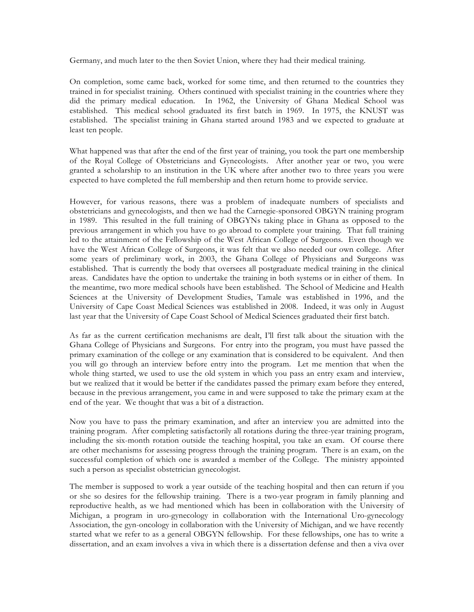Germany, and much later to the then Soviet Union, where they had their medical training.

On completion, some came back, worked for some time, and then returned to the countries they trained in for specialist training. Others continued with specialist training in the countries where they did the primary medical education. In 1962, the University of Ghana Medical School was established. This medical school graduated its first batch in 1969. In 1975, the KNUST was established. The specialist training in Ghana started around 1983 and we expected to graduate at least ten people.

What happened was that after the end of the first year of training, you took the part one membership of the Royal College of Obstetricians and Gynecologists. After another year or two, you were granted a scholarship to an institution in the UK where after another two to three years you were expected to have completed the full membership and then return home to provide service.

However, for various reasons, there was a problem of inadequate numbers of specialists and obstetricians and gynecologists, and then we had the Carnegie-sponsored OBGYN training program in 1989. This resulted in the full training of OBGYNs taking place in Ghana as opposed to the previous arrangement in which you have to go abroad to complete your training. That full training led to the attainment of the Fellowship of the West African College of Surgeons. Even though we have the West African College of Surgeons, it was felt that we also needed our own college. After some years of preliminary work, in 2003, the Ghana College of Physicians and Surgeons was established. That is currently the body that oversees all postgraduate medical training in the clinical areas. Candidates have the option to undertake the training in both systems or in either of them. In the meantime, two more medical schools have been established. The School of Medicine and Health Sciences at the University of Development Studies, Tamale was established in 1996, and the University of Cape Coast Medical Sciences was established in 2008. Indeed, it was only in August last year that the University of Cape Coast School of Medical Sciences graduated their first batch.

As far as the current certification mechanisms are dealt, I'll first talk about the situation with the Ghana College of Physicians and Surgeons. For entry into the program, you must have passed the primary examination of the college or any examination that is considered to be equivalent. And then you will go through an interview before entry into the program. Let me mention that when the whole thing started, we used to use the old system in which you pass an entry exam and interview, but we realized that it would be better if the candidates passed the primary exam before they entered, because in the previous arrangement, you came in and were supposed to take the primary exam at the end of the year. We thought that was a bit of a distraction.

Now you have to pass the primary examination, and after an interview you are admitted into the training program. After completing satisfactorily all rotations during the three-year training program, including the six-month rotation outside the teaching hospital, you take an exam. Of course there are other mechanisms for assessing progress through the training program. There is an exam, on the successful completion of which one is awarded a member of the College. The ministry appointed such a person as specialist obstetrician gynecologist.

The member is supposed to work a year outside of the teaching hospital and then can return if you or she so desires for the fellowship training. There is a two-year program in family planning and reproductive health, as we had mentioned which has been in collaboration with the University of Michigan, a program in uro-gynecology in collaboration with the International Uro-gynecology Association, the gyn-oncology in collaboration with the University of Michigan, and we have recently started what we refer to as a general OBGYN fellowship. For these fellowships, one has to write a dissertation, and an exam involves a viva in which there is a dissertation defense and then a viva over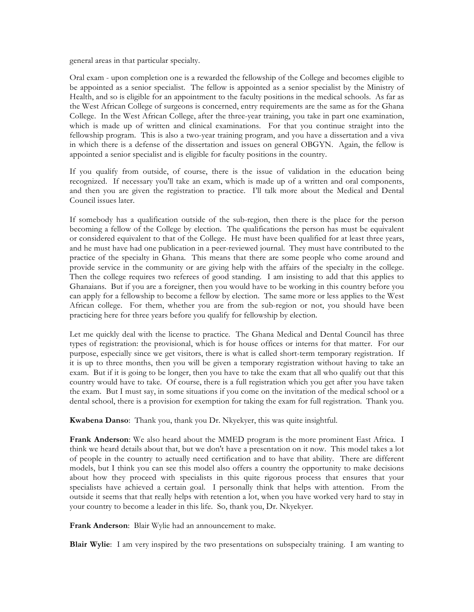general areas in that particular specialty.

Oral exam - upon completion one is a rewarded the fellowship of the College and becomes eligible to be appointed as a senior specialist. The fellow is appointed as a senior specialist by the Ministry of Health, and so is eligible for an appointment to the faculty positions in the medical schools. As far as the West African College of surgeons is concerned, entry requirements are the same as for the Ghana College. In the West African College, after the three-year training, you take in part one examination, which is made up of written and clinical examinations. For that you continue straight into the fellowship program. This is also a two-year training program, and you have a dissertation and a viva in which there is a defense of the dissertation and issues on general OBGYN. Again, the fellow is appointed a senior specialist and is eligible for faculty positions in the country.

If you qualify from outside, of course, there is the issue of validation in the education being recognized. If necessary you'll take an exam, which is made up of a written and oral components, and then you are given the registration to practice. I'll talk more about the Medical and Dental Council issues later.

If somebody has a qualification outside of the sub-region, then there is the place for the person becoming a fellow of the College by election. The qualifications the person has must be equivalent or considered equivalent to that of the College. He must have been qualified for at least three years, and he must have had one publication in a peer-reviewed journal. They must have contributed to the practice of the specialty in Ghana. This means that there are some people who come around and provide service in the community or are giving help with the affairs of the specialty in the college. Then the college requires two referees of good standing. I am insisting to add that this applies to Ghanaians. But if you are a foreigner, then you would have to be working in this country before you can apply for a fellowship to become a fellow by election. The same more or less applies to the West African college. For them, whether you are from the sub-region or not, you should have been practicing here for three years before you qualify for fellowship by election.

Let me quickly deal with the license to practice. The Ghana Medical and Dental Council has three types of registration: the provisional, which is for house offices or interns for that matter. For our purpose, especially since we get visitors, there is what is called short-term temporary registration. If it is up to three months, then you will be given a temporary registration without having to take an exam. But if it is going to be longer, then you have to take the exam that all who qualify out that this country would have to take. Of course, there is a full registration which you get after you have taken the exam. But I must say, in some situations if you come on the invitation of the medical school or a dental school, there is a provision for exemption for taking the exam for full registration. Thank you.

**Kwabena Danso**: Thank you, thank you Dr. Nkyekyer, this was quite insightful.

**Frank Anderson**: We also heard about the MMED program is the more prominent East Africa. I think we heard details about that, but we don't have a presentation on it now. This model takes a lot of people in the country to actually need certification and to have that ability. There are different models, but I think you can see this model also offers a country the opportunity to make decisions about how they proceed with specialists in this quite rigorous process that ensures that your specialists have achieved a certain goal. I personally think that helps with attention. From the outside it seems that that really helps with retention a lot, when you have worked very hard to stay in your country to become a leader in this life. So, thank you, Dr. Nkyekyer.

**Frank Anderson**: Blair Wylie had an announcement to make.

**Blair Wylie**: I am very inspired by the two presentations on subspecialty training. I am wanting to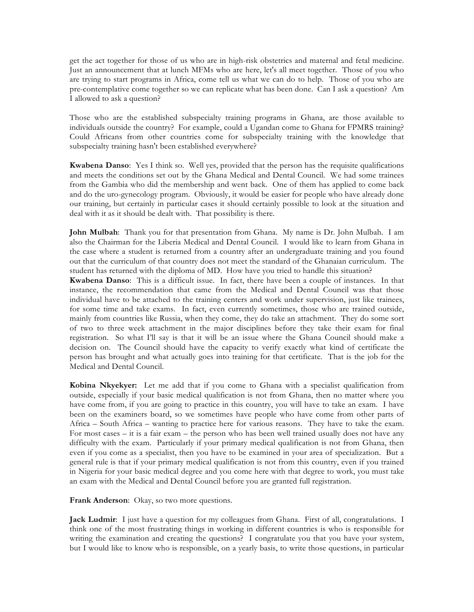get the act together for those of us who are in high-risk obstetrics and maternal and fetal medicine. Just an announcement that at lunch MFMs who are here, let's all meet together. Those of you who are trying to start programs in Africa, come tell us what we can do to help. Those of you who are pre-contemplative come together so we can replicate what has been done. Can I ask a question? Am I allowed to ask a question?

Those who are the established subspecialty training programs in Ghana, are those available to individuals outside the country? For example, could a Ugandan come to Ghana for FPMRS training? Could Africans from other countries come for subspecialty training with the knowledge that subspecialty training hasn't been established everywhere?

**Kwabena Danso**: Yes I think so. Well yes, provided that the person has the requisite qualifications and meets the conditions set out by the Ghana Medical and Dental Council. We had some trainees from the Gambia who did the membership and went back. One of them has applied to come back and do the uro-gynecology program. Obviously, it would be easier for people who have already done our training, but certainly in particular cases it should certainly possible to look at the situation and deal with it as it should be dealt with. That possibility is there.

**John Mulbah**: Thank you for that presentation from Ghana. My name is Dr. John Mulbah. I am also the Chairman for the Liberia Medical and Dental Council. I would like to learn from Ghana in the case where a student is returned from a country after an undergraduate training and you found out that the curriculum of that country does not meet the standard of the Ghanaian curriculum. The student has returned with the diploma of MD. How have you tried to handle this situation?

**Kwabena Danso**: This is a difficult issue. In fact, there have been a couple of instances. In that instance, the recommendation that came from the Medical and Dental Council was that those individual have to be attached to the training centers and work under supervision, just like trainees, for some time and take exams. In fact, even currently sometimes, those who are trained outside, mainly from countries like Russia, when they come, they do take an attachment. They do some sort of two to three week attachment in the major disciplines before they take their exam for final registration. So what I'll say is that it will be an issue where the Ghana Council should make a decision on. The Council should have the capacity to verify exactly what kind of certificate the person has brought and what actually goes into training for that certificate. That is the job for the Medical and Dental Council.

**Kobina Nkyekyer:** Let me add that if you come to Ghana with a specialist qualification from outside, especially if your basic medical qualification is not from Ghana, then no matter where you have come from, if you are going to practice in this country, you will have to take an exam. I have been on the examiners board, so we sometimes have people who have come from other parts of Africa – South Africa – wanting to practice here for various reasons. They have to take the exam. For most cases – it is a fair exam – the person who has been well trained usually does not have any difficulty with the exam. Particularly if your primary medical qualification is not from Ghana, then even if you come as a specialist, then you have to be examined in your area of specialization. But a general rule is that if your primary medical qualification is not from this country, even if you trained in Nigeria for your basic medical degree and you come here with that degree to work, you must take an exam with the Medical and Dental Council before you are granted full registration.

**Frank Anderson**: Okay, so two more questions.

**Jack Ludmir**: I just have a question for my colleagues from Ghana. First of all, congratulations. I think one of the most frustrating things in working in different countries is who is responsible for writing the examination and creating the questions? I congratulate you that you have your system, but I would like to know who is responsible, on a yearly basis, to write those questions, in particular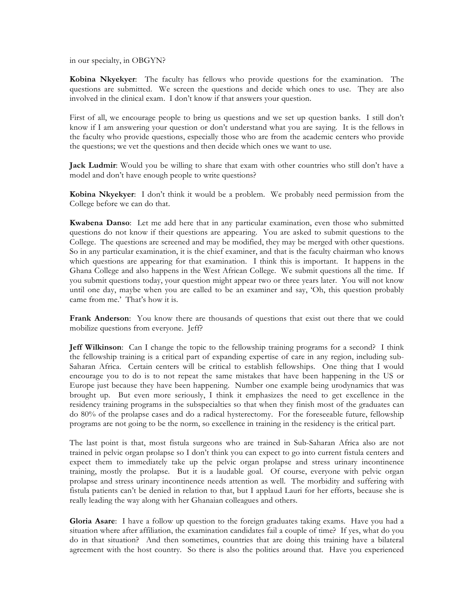in our specialty, in OBGYN?

**Kobina Nkyekyer**: The faculty has fellows who provide questions for the examination. The questions are submitted. We screen the questions and decide which ones to use. They are also involved in the clinical exam. I don't know if that answers your question.

First of all, we encourage people to bring us questions and we set up question banks. I still don't know if I am answering your question or don't understand what you are saying. It is the fellows in the faculty who provide questions, especially those who are from the academic centers who provide the questions; we vet the questions and then decide which ones we want to use.

Jack Ludmir: Would you be willing to share that exam with other countries who still don't have a model and don't have enough people to write questions?

**Kobina Nkyekyer**: I don't think it would be a problem. We probably need permission from the College before we can do that.

**Kwabena Danso**: Let me add here that in any particular examination, even those who submitted questions do not know if their questions are appearing. You are asked to submit questions to the College. The questions are screened and may be modified, they may be merged with other questions. So in any particular examination, it is the chief examiner, and that is the faculty chairman who knows which questions are appearing for that examination. I think this is important. It happens in the Ghana College and also happens in the West African College. We submit questions all the time. If you submit questions today, your question might appear two or three years later. You will not know until one day, maybe when you are called to be an examiner and say, 'Oh, this question probably came from me.' That's how it is.

**Frank Anderson**: You know there are thousands of questions that exist out there that we could mobilize questions from everyone. Jeff?

**Jeff Wilkinson**: Can I change the topic to the fellowship training programs for a second? I think the fellowship training is a critical part of expanding expertise of care in any region, including sub-Saharan Africa. Certain centers will be critical to establish fellowships. One thing that I would encourage you to do is to not repeat the same mistakes that have been happening in the US or Europe just because they have been happening. Number one example being urodynamics that was brought up. But even more seriously, I think it emphasizes the need to get excellence in the residency training programs in the subspecialties so that when they finish most of the graduates can do 80% of the prolapse cases and do a radical hysterectomy. For the foreseeable future, fellowship programs are not going to be the norm, so excellence in training in the residency is the critical part.

The last point is that, most fistula surgeons who are trained in Sub-Saharan Africa also are not trained in pelvic organ prolapse so I don't think you can expect to go into current fistula centers and expect them to immediately take up the pelvic organ prolapse and stress urinary incontinence training, mostly the prolapse. But it is a laudable goal. Of course, everyone with pelvic organ prolapse and stress urinary incontinence needs attention as well. The morbidity and suffering with fistula patients can't be denied in relation to that, but I applaud Lauri for her efforts, because she is really leading the way along with her Ghanaian colleagues and others.

**Gloria Asare**: I have a follow up question to the foreign graduates taking exams. Have you had a situation where after affiliation, the examination candidates fail a couple of time? If yes, what do you do in that situation? And then sometimes, countries that are doing this training have a bilateral agreement with the host country. So there is also the politics around that. Have you experienced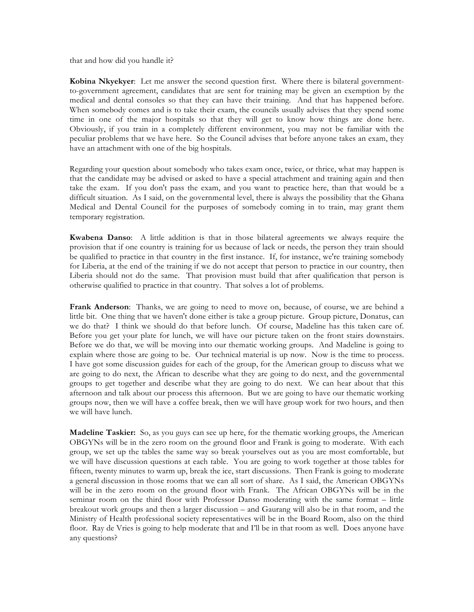that and how did you handle it?

**Kobina Nkyekyer**: Let me answer the second question first. Where there is bilateral governmentto-government agreement, candidates that are sent for training may be given an exemption by the medical and dental consoles so that they can have their training. And that has happened before. When somebody comes and is to take their exam, the councils usually advises that they spend some time in one of the major hospitals so that they will get to know how things are done here. Obviously, if you train in a completely different environment, you may not be familiar with the peculiar problems that we have here. So the Council advises that before anyone takes an exam, they have an attachment with one of the big hospitals.

Regarding your question about somebody who takes exam once, twice, or thrice, what may happen is that the candidate may be advised or asked to have a special attachment and training again and then take the exam. If you don't pass the exam, and you want to practice here, than that would be a difficult situation. As I said, on the governmental level, there is always the possibility that the Ghana Medical and Dental Council for the purposes of somebody coming in to train, may grant them temporary registration.

**Kwabena Danso**: A little addition is that in those bilateral agreements we always require the provision that if one country is training for us because of lack or needs, the person they train should be qualified to practice in that country in the first instance. If, for instance, we're training somebody for Liberia, at the end of the training if we do not accept that person to practice in our country, then Liberia should not do the same. That provision must build that after qualification that person is otherwise qualified to practice in that country. That solves a lot of problems.

**Frank Anderson**: Thanks, we are going to need to move on, because, of course, we are behind a little bit. One thing that we haven't done either is take a group picture. Group picture, Donatus, can we do that? I think we should do that before lunch. Of course, Madeline has this taken care of. Before you get your plate for lunch, we will have our picture taken on the front stairs downstairs. Before we do that, we will be moving into our thematic working groups. And Madeline is going to explain where those are going to be. Our technical material is up now. Now is the time to process. I have got some discussion guides for each of the group, for the American group to discuss what we are going to do next, the African to describe what they are going to do next, and the governmental groups to get together and describe what they are going to do next. We can hear about that this afternoon and talk about our process this afternoon. But we are going to have our thematic working groups now, then we will have a coffee break, then we will have group work for two hours, and then we will have lunch.

**Madeline Taskier:** So, as you guys can see up here, for the thematic working groups, the American OBGYNs will be in the zero room on the ground floor and Frank is going to moderate. With each group, we set up the tables the same way so break yourselves out as you are most comfortable, but we will have discussion questions at each table. You are going to work together at those tables for fifteen, twenty minutes to warm up, break the ice, start discussions. Then Frank is going to moderate a general discussion in those rooms that we can all sort of share. As I said, the American OBGYNs will be in the zero room on the ground floor with Frank. The African OBGYNs will be in the seminar room on the third floor with Professor Danso moderating with the same format – little breakout work groups and then a larger discussion – and Gaurang will also be in that room, and the Ministry of Health professional society representatives will be in the Board Room, also on the third floor. Ray de Vries is going to help moderate that and I'll be in that room as well. Does anyone have any questions?